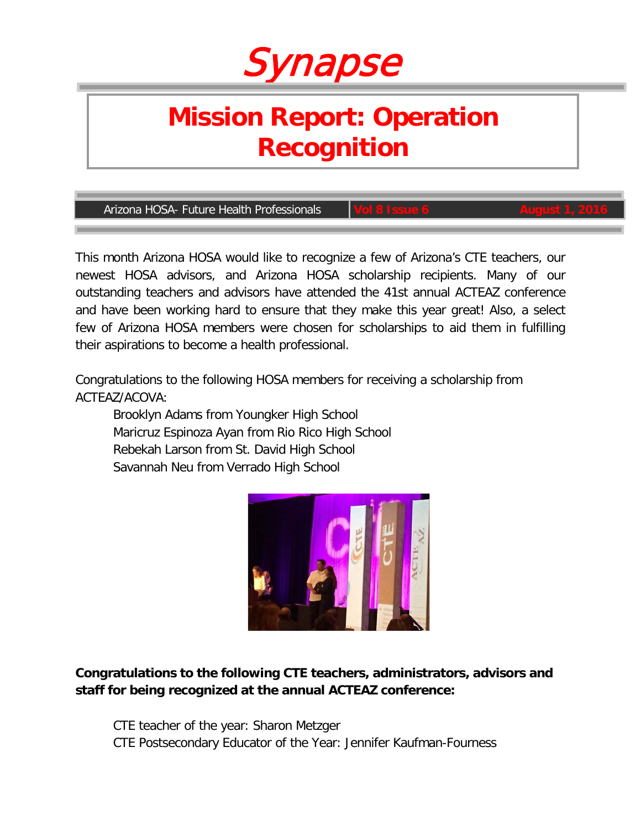# Synapse

# **Mission Report: Operation Recognition**

**Arizona HOSA- Future Health Professionals** 

This month Arizona HOSA would like to recognize a few of Arizona's CTE teachers, our newest HOSA advisors, and Arizona HOSA scholarship recipients. Many of our outstanding teachers and advisors have attended the 41st annual ACTEAZ conference and have been working hard to ensure that they make this year great! Also, a select few of Arizona HOSA members were chosen for scholarships to aid them in fulfilling their aspirations to become a health professional.

Congratulations to the following HOSA members for receiving a scholarship from ACTEAZ/ACOVA:

Brooklyn Adams from Youngker High School Maricruz Espinoza Ayan from Rio Rico High School Rebekah Larson from St. David High School Savannah Neu from Verrado High School



**Congratulations to the following CTE teachers, administrators, advisors and staff for being recognized at the annual ACTEAZ conference:**

CTE teacher of the year: Sharon Metzger CTE Postsecondary Educator of the Year: Jennifer Kaufman-Fourness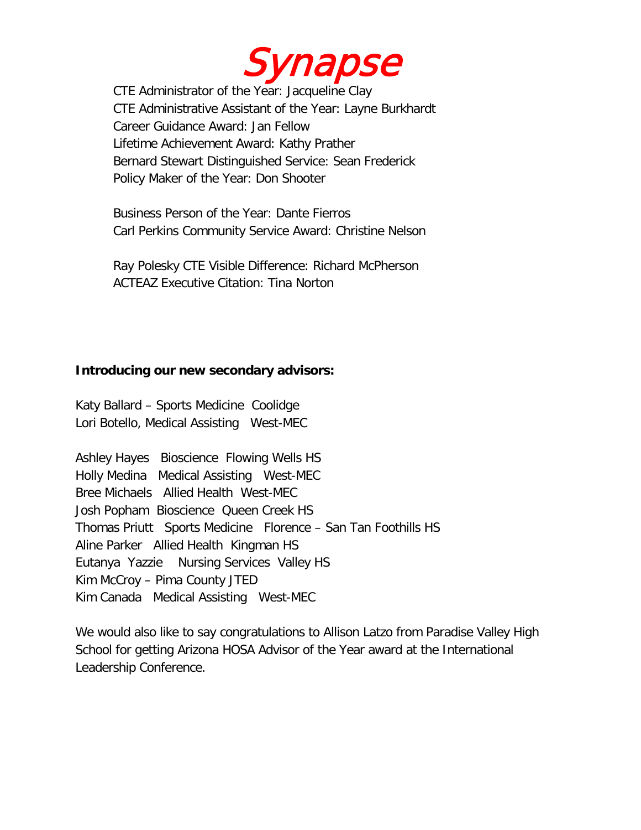

CTE Administrator of the Year: Jacqueline Clay CTE Administrative Assistant of the Year: Layne Burkhardt Career Guidance Award: Jan Fellow Lifetime Achievement Award: Kathy Prather Bernard Stewart Distinguished Service: Sean Frederick Policy Maker of the Year: Don Shooter

Business Person of the Year: Dante Fierros Carl Perkins Community Service Award: Christine Nelson

Ray Polesky CTE Visible Difference: Richard McPherson ACTEAZ Executive Citation: Tina Norton

#### **Introducing our new secondary advisors:**

Katy Ballard – Sports Medicine Coolidge Lori Botello, Medical Assisting West-MEC

Ashley Hayes Bioscience Flowing Wells HS Holly Medina Medical Assisting West-MEC Bree Michaels Allied Health West-MEC Josh Popham Bioscience Queen Creek HS Thomas Priutt Sports Medicine Florence – San Tan Foothills HS Aline Parker Allied Health Kingman HS Eutanya Yazzie Nursing Services Valley HS Kim McCroy – Pima County JTED Kim Canada Medical Assisting West-MEC

We would also like to say congratulations to Allison Latzo from Paradise Valley High School for getting Arizona HOSA Advisor of the Year award at the International Leadership Conference.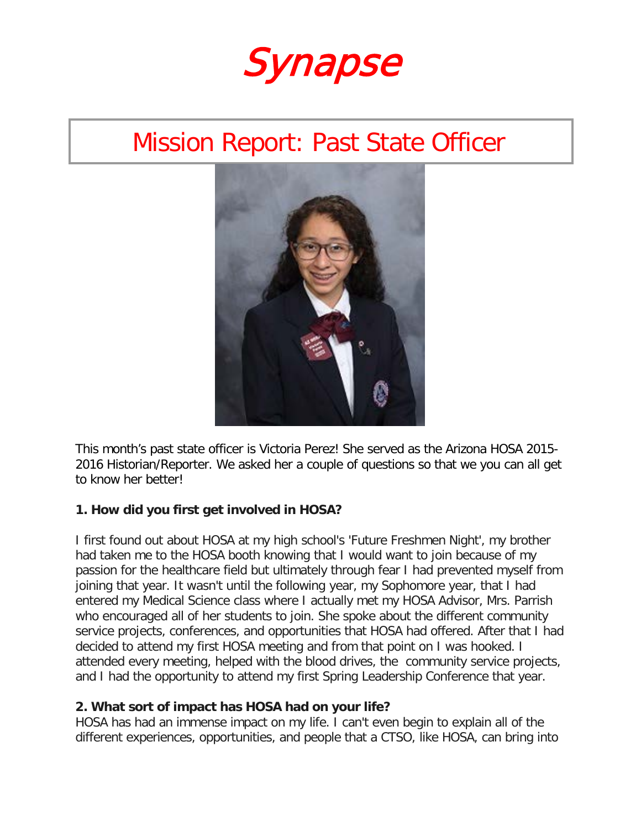Synapse

## Mission Report: Past State Officer



This month's past state officer is Victoria Perez! She served as the Arizona HOSA 2015- 2016 Historian/Reporter. We asked her a couple of questions so that we you can all get to know her better!

#### **1. How did you first get involved in HOSA?**

I first found out about HOSA at my high school's 'Future Freshmen Night', my brother had taken me to the HOSA booth knowing that I would want to join because of my passion for the healthcare field but ultimately through fear I had prevented myself from joining that year. It wasn't until the following year, my Sophomore year, that I had entered my Medical Science class where I actually met my HOSA Advisor, Mrs. Parrish who encouraged all of her students to join. She spoke about the different community service projects, conferences, and opportunities that HOSA had offered. After that I had decided to attend my first HOSA meeting and from that point on I was hooked. I attended every meeting, helped with the blood drives, the community service projects, and I had the opportunity to attend my first Spring Leadership Conference that year.

#### **2. What sort of impact has HOSA had on your life?**

HOSA has had an immense impact on my life. I can't even begin to explain all of the different experiences, opportunities, and people that a CTSO, like HOSA, can bring into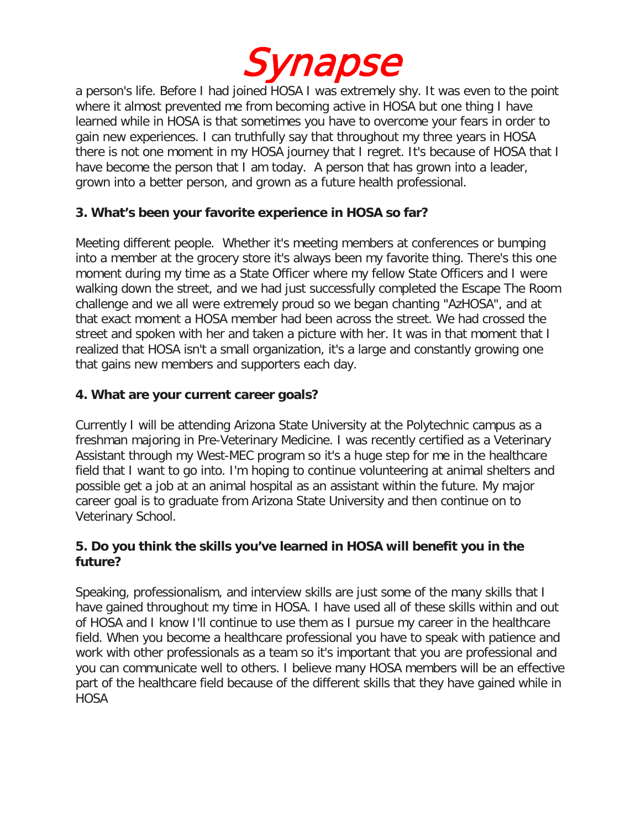

a person's life. Before I had joined HOSA I was extremely shy. It was even to the point where it almost prevented me from becoming active in HOSA but one thing I have learned while in HOSA is that sometimes you have to overcome your fears in order to gain new experiences. I can truthfully say that throughout my three years in HOSA there is not one moment in my HOSA journey that I regret. It's because of HOSA that I have become the person that I am today. A person that has grown into a leader, grown into a better person, and grown as a future health professional.

#### **3. What's been your favorite experience in HOSA so far?**

Meeting different people. Whether it's meeting members at conferences or bumping into a member at the grocery store it's always been my favorite thing. There's this one moment during my time as a State Officer where my fellow State Officers and I were walking down the street, and we had just successfully completed the Escape The Room challenge and we all were extremely proud so we began chanting "AzHOSA", and at that exact moment a HOSA member had been across the street. We had crossed the street and spoken with her and taken a picture with her. It was in that moment that I realized that HOSA isn't a small organization, it's a large and constantly growing one that gains new members and supporters each day.

#### **4. What are your current career goals?**

Currently I will be attending Arizona State University at the Polytechnic campus as a freshman majoring in Pre-Veterinary Medicine. I was recently certified as a Veterinary Assistant through my West-MEC program so it's a huge step for me in the healthcare field that I want to go into. I'm hoping to continue volunteering at animal shelters and possible get a job at an animal hospital as an assistant within the future. My major career goal is to graduate from Arizona State University and then continue on to Veterinary School.

#### **5. Do you think the skills you've learned in HOSA will benefit you in the future?**

Speaking, professionalism, and interview skills are just some of the many skills that I have gained throughout my time in HOSA. I have used all of these skills within and out of HOSA and I know I'll continue to use them as I pursue my career in the healthcare field. When you become a healthcare professional you have to speak with patience and work with other professionals as a team so it's important that you are professional and you can communicate well to others. I believe many HOSA members will be an effective part of the healthcare field because of the different skills that they have gained while in HOSA